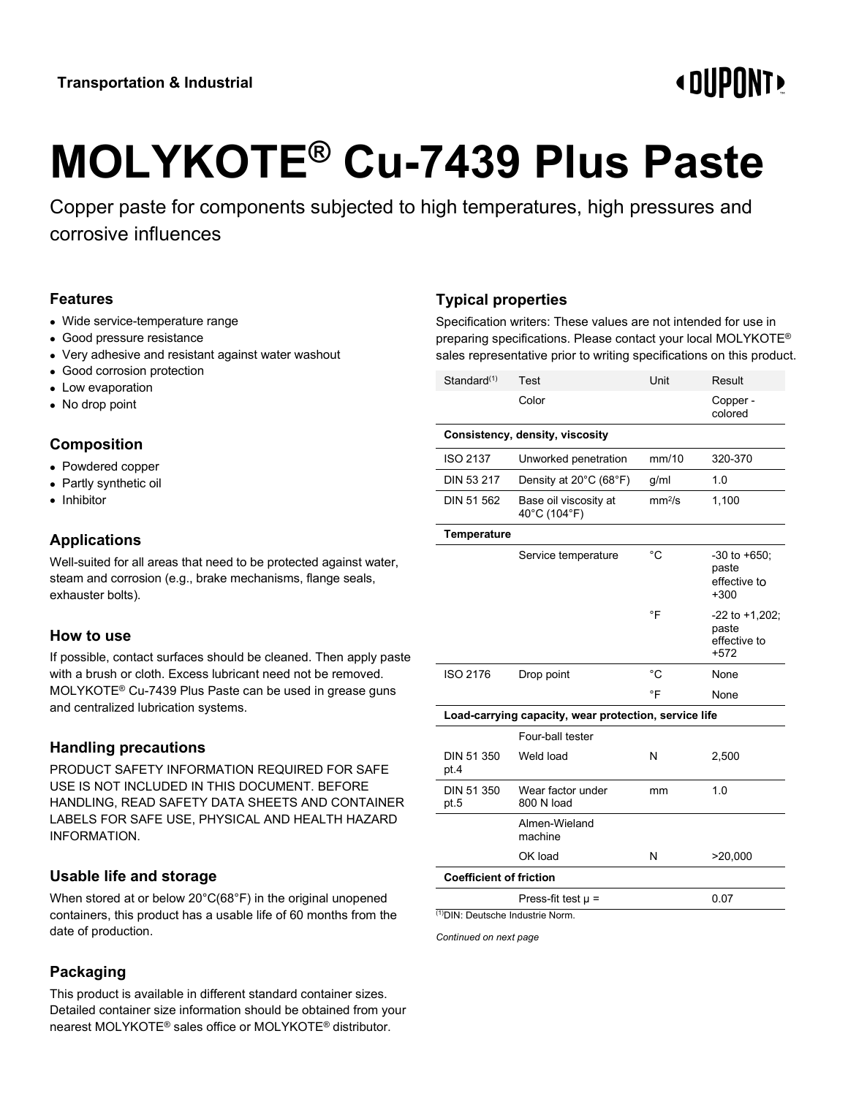# **« DIIPNNT!**

# **MOLYKOTE® Cu-7439 Plus Paste**

Copper paste for components subjected to high temperatures, high pressures and corrosive influences

#### **Features**

- Wide service-temperature range
- Good pressure resistance
- Very adhesive and resistant against water washout
- Good corrosion protection
- Low evaporation
- No drop point

## **Composition**

- Powdered copper
- Partly synthetic oil
- Inhibitor

#### **Applications**

Well-suited for all areas that need to be protected against water, steam and corrosion (e.g., brake mechanisms, flange seals, exhauster bolts).

#### **How to use**

If possible, contact surfaces should be cleaned. Then apply paste with a brush or cloth. Excess lubricant need not be removed. MOLYKOTE® Cu-7439 Plus Paste can be used in grease guns and centralized lubrication systems.

#### **Handling precautions**

PRODUCT SAFETY INFORMATION REQUIRED FOR SAFE USE IS NOT INCLUDED IN THIS DOCUMENT. BEFORE HANDLING, READ SAFETY DATA SHEETS AND CONTAINER LABELS FOR SAFE USE, PHYSICAL AND HEALTH HAZARD INFORMATION.

#### **Usable life and storage**

When stored at or below 20°C(68°F) in the original unopened containers, this product has a usable life of 60 months from the date of production.

# **Packaging**

This product is available in different standard container sizes. Detailed container size information should be obtained from your nearest MOLYKOTE® sales office or MOLYKOTE® distributor.

## **Typical properties**

Specification writers: These values are not intended for use in preparing specifications. Please contact your local MOLYKOTE® sales representative prior to writing specifications on this product.

| Standard <sup>(1)</sup>                               | Test                                  | Unit               | Result                                                 |  |
|-------------------------------------------------------|---------------------------------------|--------------------|--------------------------------------------------------|--|
|                                                       | Color                                 |                    | Copper -<br>colored                                    |  |
| Consistency, density, viscosity                       |                                       |                    |                                                        |  |
| <b>ISO 2137</b>                                       | Unworked penetration                  | mm/10              | 320-370                                                |  |
| DIN 53 217                                            | Density at 20°C (68°F)                | g/ml               | 1.0                                                    |  |
| DIN 51 562                                            | Base oil viscosity at<br>40°C (104°F) | mm <sup>2</sup> /s | 1,100                                                  |  |
| <b>Temperature</b>                                    |                                       |                    |                                                        |  |
|                                                       | Service temperature                   | $^{\circ}C$        | $-30$ to $+650$ ;<br>paste<br>effective to<br>$+300$   |  |
|                                                       |                                       | °F                 | $-22$ to $+1,202$ ;<br>paste<br>effective to<br>$+572$ |  |
| ISO 2176                                              | Drop point                            | °C                 | None                                                   |  |
|                                                       |                                       | °F                 | None                                                   |  |
| Load-carrying capacity, wear protection, service life |                                       |                    |                                                        |  |
|                                                       | Four-ball tester                      |                    |                                                        |  |
| DIN 51 350<br>pt.4                                    | Weld load                             | N                  | 2,500                                                  |  |
| DIN 51 350<br>pt.5                                    | Wear factor under<br>800 N load       | mm                 | 1.0                                                    |  |
|                                                       | Almen-Wieland<br>machine              |                    |                                                        |  |
|                                                       | OK load                               | N                  | >20,000                                                |  |
| <b>Coefficient of friction</b>                        |                                       |                    |                                                        |  |
|                                                       | Press-fit test $\mu$ =                |                    | 0.07                                                   |  |
| <sup>(1)</sup> DIN: Deutsche Industrie Norm.          |                                       |                    |                                                        |  |

*Continued on next page*